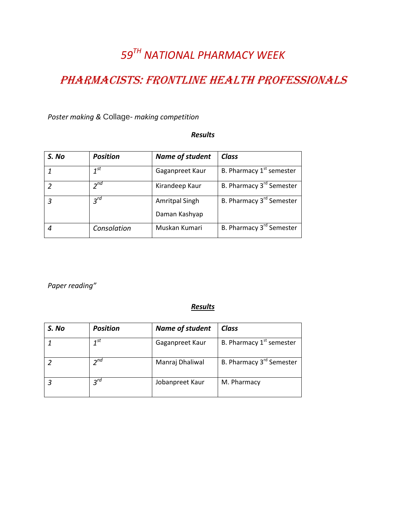# *59 TH NATIONAL PHARMACY WEEK*

## PHARMACISTS: FRONTLINE HEALTH PROFESSIONALS

*Poster making &* Collage- *making competition* 

#### *Results*

| S. No | <b>Position</b> | <b>Name of student</b> | <b>Class</b>                         |
|-------|-----------------|------------------------|--------------------------------------|
|       | $1^{st}$        | Gaganpreet Kaur        | B. Pharmacy 1 <sup>st</sup> semester |
|       | $2^{nd}$        | Kirandeep Kaur         | B. Pharmacy 3 <sup>rd</sup> Semester |
| 3     | $3^{rd}$        | <b>Amritpal Singh</b>  | B. Pharmacy 3 <sup>rd</sup> Semester |
|       |                 | Daman Kashyap          |                                      |
|       | Consolation     | Muskan Kumari          | B. Pharmacy 3 <sup>rd</sup> Semester |

*Paper reading"*

#### *Results*

| S. No | <b>Position</b> | Name of student | <b>Class</b>                         |
|-------|-----------------|-----------------|--------------------------------------|
|       | 1 <sub>st</sub> | Gaganpreet Kaur | B. Pharmacy 1 <sup>st</sup> semester |
|       | $2^{nd}$        | Manraj Dhaliwal | B. Pharmacy 3 <sup>rd</sup> Semester |
|       | $3^{rd}$        | Jobanpreet Kaur | M. Pharmacy                          |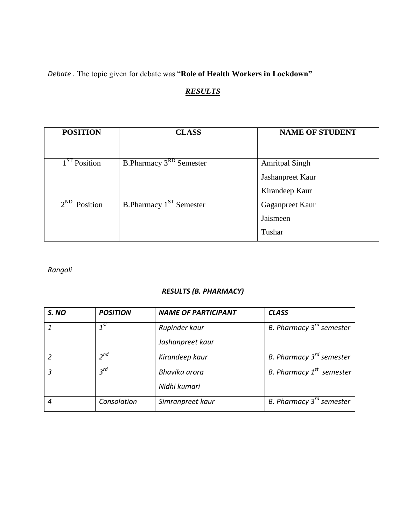*Debate .* The topic given for debate was "**Role of Health Workers in Lockdown"**

## *RESULTS*

| <b>POSITION</b>                        | <b>CLASS</b>                              | <b>NAME OF STUDENT</b>                                      |
|----------------------------------------|-------------------------------------------|-------------------------------------------------------------|
| 1 <sup>ST</sup> Position               | <b>B.Pharmacy 3<sup>RD</sup> Semester</b> | <b>Amritpal Singh</b><br>Jashanpreet Kaur<br>Kirandeep Kaur |
| $2^{\overline{\text{ND}}}$<br>Position | B.Pharmacy 1 <sup>ST</sup> Semester       | Gaganpreet Kaur<br>Jaismeen<br>Tushar                       |

#### *Rangoli*

#### *RESULTS (B. PHARMACY)*

| S. NO | <b>POSITION</b> | <b>NAME OF PARTICIPANT</b> | <b>CLASS</b>                  |
|-------|-----------------|----------------------------|-------------------------------|
|       | $1^{st}$        | Rupinder kaur              | B. Pharmacy $3^{rd}$ semester |
|       |                 | Jashanpreet kaur           |                               |
|       | $2^{nd}$        | Kirandeep kaur             | B. Pharmacy $3^{rd}$ semester |
| 3     | $3^{rd}$        | Bhavika arora              | B. Pharmacy $1^{st}$ semester |
|       |                 | Nidhi kumari               |                               |
| 4     | Consolation     | Simranpreet kaur           | B. Pharmacy $3^{rd}$ semester |